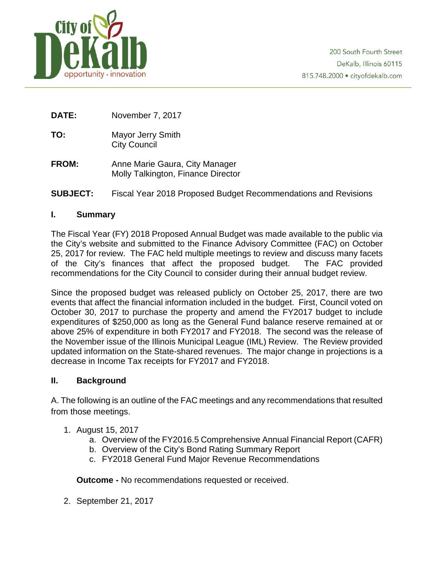

**DATE:** November 7, 2017

- **TO:** Mayor Jerry Smith City Council
- **FROM:** Anne Marie Gaura, City Manager Molly Talkington, Finance Director
- **SUBJECT:** Fiscal Year 2018 Proposed Budget Recommendations and Revisions

### **I. Summary**

The Fiscal Year (FY) 2018 Proposed Annual Budget was made available to the public via the City's website and submitted to the Finance Advisory Committee (FAC) on October 25, 2017 for review. The FAC held multiple meetings to review and discuss many facets of the City's finances that affect the proposed budget. The FAC provided recommendations for the City Council to consider during their annual budget review.

Since the proposed budget was released publicly on October 25, 2017, there are two events that affect the financial information included in the budget. First, Council voted on October 30, 2017 to purchase the property and amend the FY2017 budget to include expenditures of \$250,000 as long as the General Fund balance reserve remained at or above 25% of expenditure in both FY2017 and FY2018. The second was the release of the November issue of the Illinois Municipal League (IML) Review. The Review provided updated information on the State-shared revenues. The major change in projections is a decrease in Income Tax receipts for FY2017 and FY2018.

### **II. Background**

A. The following is an outline of the FAC meetings and any recommendations that resulted from those meetings.

- 1. August 15, 2017
	- a. Overview of the FY2016.5 Comprehensive Annual Financial Report (CAFR)
	- b. Overview of the City's Bond Rating Summary Report
	- c. FY2018 General Fund Major Revenue Recommendations

**Outcome -** No recommendations requested or received.

2. September 21, 2017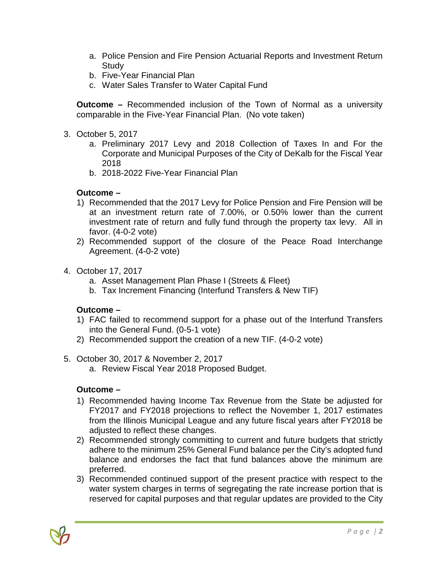- a. Police Pension and Fire Pension Actuarial Reports and Investment Return **Study**
- b. Five-Year Financial Plan
- c. Water Sales Transfer to Water Capital Fund

**Outcome –** Recommended inclusion of the Town of Normal as a university comparable in the Five-Year Financial Plan. (No vote taken)

- 3. October 5, 2017
	- a. Preliminary 2017 Levy and 2018 Collection of Taxes In and For the Corporate and Municipal Purposes of the City of DeKalb for the Fiscal Year 2018
	- b. 2018-2022 Five-Year Financial Plan

## **Outcome –**

- 1) Recommended that the 2017 Levy for Police Pension and Fire Pension will be at an investment return rate of 7.00%, or 0.50% lower than the current investment rate of return and fully fund through the property tax levy. All in favor. (4-0-2 vote)
- 2) Recommended support of the closure of the Peace Road Interchange Agreement. (4-0-2 vote)
- 4. October 17, 2017
	- a. Asset Management Plan Phase I (Streets & Fleet)
	- b. Tax Increment Financing (Interfund Transfers & New TIF)

### **Outcome –**

- 1) FAC failed to recommend support for a phase out of the Interfund Transfers into the General Fund. (0-5-1 vote)
- 2) Recommended support the creation of a new TIF. (4-0-2 vote)
- 5. October 30, 2017 & November 2, 2017
	- a. Review Fiscal Year 2018 Proposed Budget.

# **Outcome –**

- 1) Recommended having Income Tax Revenue from the State be adjusted for FY2017 and FY2018 projections to reflect the November 1, 2017 estimates from the Illinois Municipal League and any future fiscal years after FY2018 be adjusted to reflect these changes.
- 2) Recommended strongly committing to current and future budgets that strictly adhere to the minimum 25% General Fund balance per the City's adopted fund balance and endorses the fact that fund balances above the minimum are preferred.
- 3) Recommended continued support of the present practice with respect to the water system charges in terms of segregating the rate increase portion that is reserved for capital purposes and that regular updates are provided to the City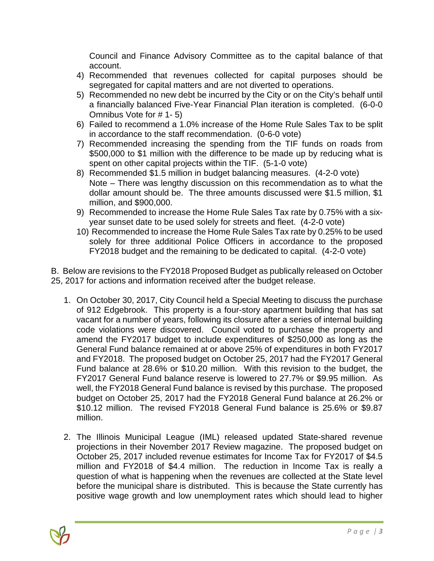Council and Finance Advisory Committee as to the capital balance of that account.

- 4) Recommended that revenues collected for capital purposes should be segregated for capital matters and are not diverted to operations.
- 5) Recommended no new debt be incurred by the City or on the City's behalf until a financially balanced Five-Year Financial Plan iteration is completed. (6-0-0 Omnibus Vote for # 1- 5)
- 6) Failed to recommend a 1.0% increase of the Home Rule Sales Tax to be split in accordance to the staff recommendation. (0-6-0 vote)
- 7) Recommended increasing the spending from the TIF funds on roads from \$500,000 to \$1 million with the difference to be made up by reducing what is spent on other capital projects within the TIF. (5-1-0 vote)
- 8) Recommended \$1.5 million in budget balancing measures. (4-2-0 vote) Note – There was lengthy discussion on this recommendation as to what the dollar amount should be. The three amounts discussed were \$1.5 million, \$1 million, and \$900,000.
- 9) Recommended to increase the Home Rule Sales Tax rate by 0.75% with a sixyear sunset date to be used solely for streets and fleet. (4-2-0 vote)
- 10) Recommended to increase the Home Rule Sales Tax rate by 0.25% to be used solely for three additional Police Officers in accordance to the proposed FY2018 budget and the remaining to be dedicated to capital. (4-2-0 vote)

B. Below are revisions to the FY2018 Proposed Budget as publically released on October 25, 2017 for actions and information received after the budget release.

- 1. On October 30, 2017, City Council held a Special Meeting to discuss the purchase of 912 Edgebrook. This property is a four-story apartment building that has sat vacant for a number of years, following its closure after a series of internal building code violations were discovered. Council voted to purchase the property and amend the FY2017 budget to include expenditures of \$250,000 as long as the General Fund balance remained at or above 25% of expenditures in both FY2017 and FY2018. The proposed budget on October 25, 2017 had the FY2017 General Fund balance at 28.6% or \$10.20 million. With this revision to the budget, the FY2017 General Fund balance reserve is lowered to 27.7% or \$9.95 million. As well, the FY2018 General Fund balance is revised by this purchase. The proposed budget on October 25, 2017 had the FY2018 General Fund balance at 26.2% or \$10.12 million. The revised FY2018 General Fund balance is 25.6% or \$9.87 million.
- 2. The Illinois Municipal League (IML) released updated State-shared revenue projections in their November 2017 Review magazine. The proposed budget on October 25, 2017 included revenue estimates for Income Tax for FY2017 of \$4.5 million and FY2018 of \$4.4 million. The reduction in Income Tax is really a question of what is happening when the revenues are collected at the State level before the municipal share is distributed. This is because the State currently has positive wage growth and low unemployment rates which should lead to higher